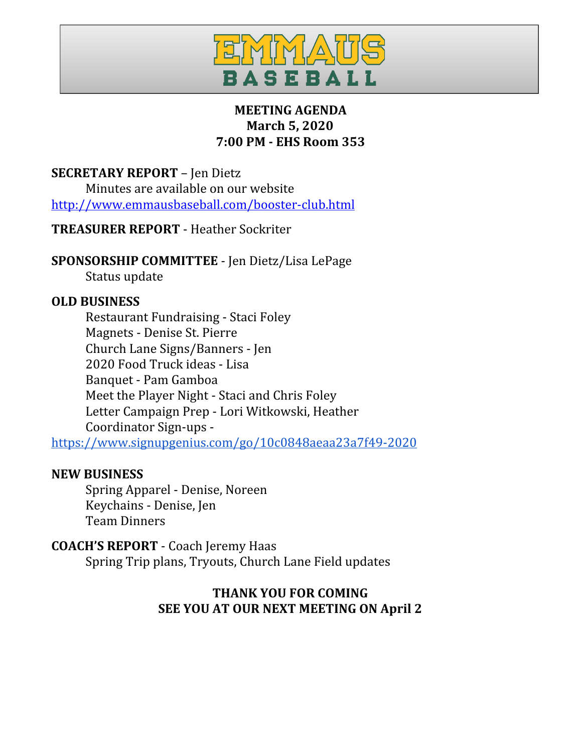

# **MEETING AGENDA March 5, 2020 7:00 PM - EHS Room 353**

**SECRETARY REPORT** – Jen Dietz

Minutes are available on our website <http://www.emmausbaseball.com/booster-club.html>

**TREASURER REPORT** - Heather Sockriter

**SPONSORSHIP COMMITTEE** - Jen Dietz/Lisa LePage

Status update

# **OLD BUSINESS**

Restaurant Fundraising - Staci Foley Magnets - Denise St. Pierre Church Lane Signs/Banners - Jen 2020 Food Truck ideas - Lisa Banquet - Pam Gamboa Meet the Player Night - Staci and Chris Foley Letter Campaign Prep - Lori Witkowski, Heather Coordinator Sign-ups -

<https://www.signupgenius.com/go/10c0848aeaa23a7f49-2020>

## **NEW BUSINESS**

Spring Apparel - Denise, Noreen Keychains - Denise, Jen Team Dinners

# **COACH'S REPORT** - Coach Jeremy Haas

Spring Trip plans, Tryouts, Church Lane Field updates

# **THANK YOU FOR COMING SEE YOU AT OUR NEXT MEETING ON April 2**